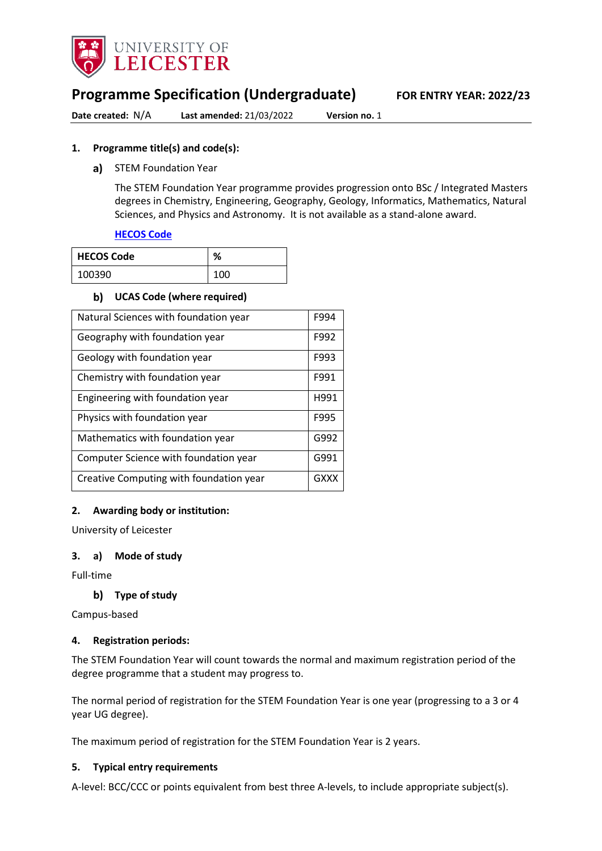

## **Programme Specification (Undergraduate) FOR ENTRY YEAR: 2022/23**

**Date created:** N/A **Last amended:** 21/03/2022 **Version no.** 1

#### **1. Programme title(s) and code(s):**

a) STEM Foundation Year

The STEM Foundation Year programme provides progression onto BSc / Integrated Masters degrees in Chemistry, Engineering, Geography, Geology, Informatics, Mathematics, Natural Sciences, and Physics and Astronomy. It is not available as a stand-alone award.

#### **[HECOS Code](https://www.hesa.ac.uk/innovation/hecos)**

| l HECOS Code | ℅   |
|--------------|-----|
| 100390       | 100 |

#### **UCAS Code (where required)**

| Natural Sciences with foundation year   | F994 |
|-----------------------------------------|------|
| Geography with foundation year          | F992 |
| Geology with foundation year            | F993 |
| Chemistry with foundation year          | F991 |
| Engineering with foundation year        | H991 |
| Physics with foundation year            | F995 |
| Mathematics with foundation year        | G992 |
| Computer Science with foundation year   | G991 |
| Creative Computing with foundation year | GXXX |

#### **2. Awarding body or institution:**

University of Leicester

#### **3. a) Mode of study**

Full-time

#### **Type of study**

Campus-based

#### **4. Registration periods:**

The STEM Foundation Year will count towards the normal and maximum registration period of the degree programme that a student may progress to.

The normal period of registration for the STEM Foundation Year is one year (progressing to a 3 or 4 year UG degree).

The maximum period of registration for the STEM Foundation Year is 2 years.

#### **5. Typical entry requirements**

A-level: BCC/CCC or points equivalent from best three A-levels, to include appropriate subject(s).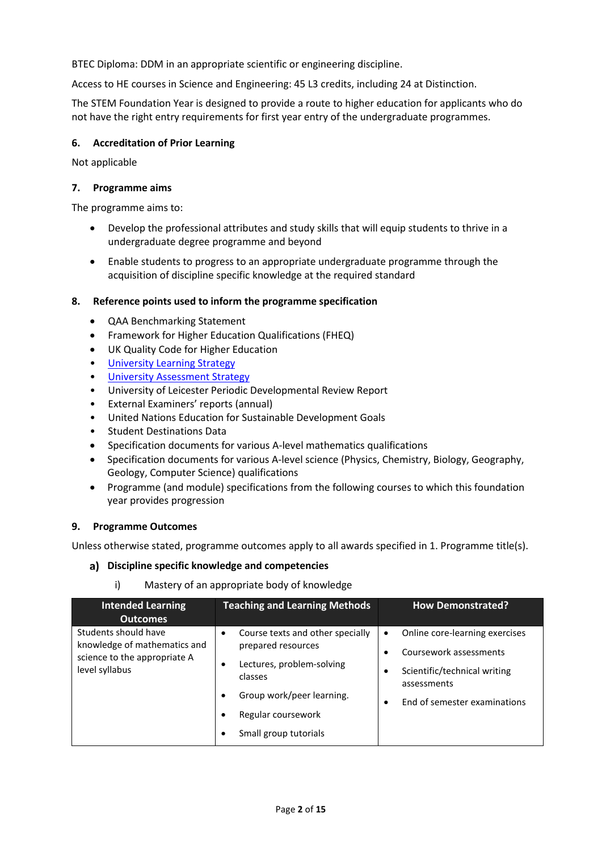BTEC Diploma: DDM in an appropriate scientific or engineering discipline.

Access to HE courses in Science and Engineering: 45 L3 credits, including 24 at Distinction.

The STEM Foundation Year is designed to provide a route to higher education for applicants who do not have the right entry requirements for first year entry of the undergraduate programmes.

#### **6. Accreditation of Prior Learning**

Not applicable

#### **7. Programme aims**

The programme aims to:

- Develop the professional attributes and study skills that will equip students to thrive in a undergraduate degree programme and beyond
- Enable students to progress to an appropriate undergraduate programme through the acquisition of discipline specific knowledge at the required standard

#### **8. Reference points used to inform the programme specification**

- QAA Benchmarking Statement
- Framework for Higher Education Qualifications (FHEQ)
- UK Quality Code for Higher Education
- University Learnin[g Strategy](https://www2.le.ac.uk/offices/sas2/quality/learnteach)
- [University Assessment Strategy](https://www2.le.ac.uk/offices/sas2/quality/learnteach)
- University of Leicester Periodic Developmental Review Report
- External Examiners' reports (annual)
- United Nations Education for Sustainable Development Goals
- Student Destinations Data
- Specification documents for various A-level mathematics qualifications
- Specification documents for various A-level science (Physics, Chemistry, Biology, Geography, Geology, Computer Science) qualifications
- Programme (and module) specifications from the following courses to which this foundation year provides progression

#### **9. Programme Outcomes**

Unless otherwise stated, programme outcomes apply to all awards specified in 1. Programme title(s).

#### **Discipline specific knowledge and competencies**

i) Mastery of an appropriate body of knowledge

| <b>Intended Learning</b><br><b>Outcomes</b>                                                            | <b>Teaching and Learning Methods</b>                                                                                                                                                      | <b>How Demonstrated?</b>                                                                                                                                          |
|--------------------------------------------------------------------------------------------------------|-------------------------------------------------------------------------------------------------------------------------------------------------------------------------------------------|-------------------------------------------------------------------------------------------------------------------------------------------------------------------|
| Students should have<br>knowledge of mathematics and<br>science to the appropriate A<br>level syllabus | Course texts and other specially<br>٠<br>prepared resources<br>Lectures, problem-solving<br>classes<br>Group work/peer learning.<br>٠<br>Regular coursework<br>Small group tutorials<br>٠ | Online core-learning exercises<br>$\bullet$<br>Coursework assessments<br>Scientific/technical writing<br>assessments<br>End of semester examinations<br>$\bullet$ |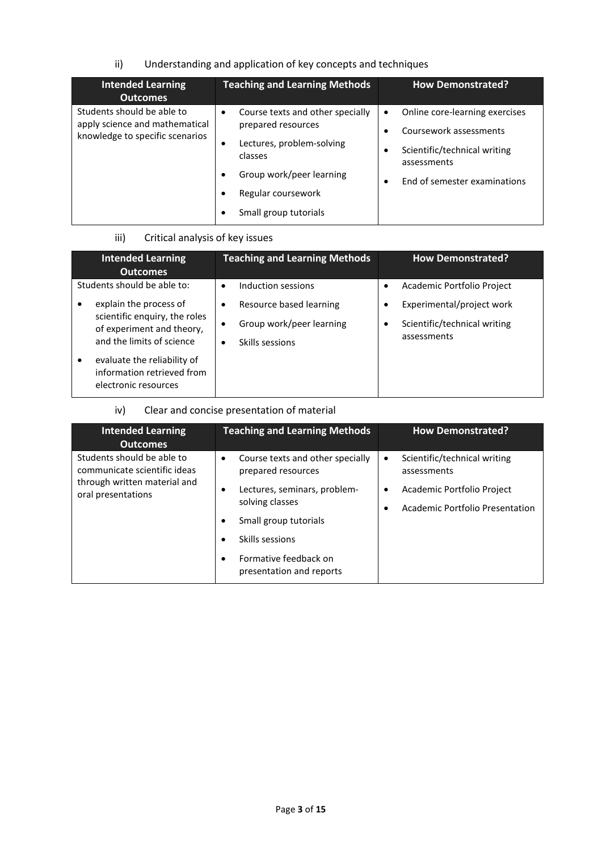## ii) Understanding and application of key concepts and techniques

| <b>Intended Learning</b><br><b>Outcomes</b>                                                     | <b>Teaching and Learning Methods</b>                                                                                                                                                   | <b>How Demonstrated?</b>                                                                                                                             |
|-------------------------------------------------------------------------------------------------|----------------------------------------------------------------------------------------------------------------------------------------------------------------------------------------|------------------------------------------------------------------------------------------------------------------------------------------------------|
| Students should be able to<br>apply science and mathematical<br>knowledge to specific scenarios | Course texts and other specially<br>$\bullet$<br>prepared resources<br>Lectures, problem-solving<br>classes<br>Group work/peer learning<br>Regular coursework<br>Small group tutorials | Online core-learning exercises<br>$\bullet$<br>Coursework assessments<br>Scientific/technical writing<br>assessments<br>End of semester examinations |

### iii) Critical analysis of key issues

|   | <b>Intended Learning</b><br><b>Outcomes</b>                                                                       | <b>Teaching and Learning Methods</b>                                                     |           | <b>How Demonstrated?</b>                                                 |
|---|-------------------------------------------------------------------------------------------------------------------|------------------------------------------------------------------------------------------|-----------|--------------------------------------------------------------------------|
|   | Students should be able to:                                                                                       | Induction sessions<br>٠                                                                  | $\bullet$ | Academic Portfolio Project                                               |
|   | explain the process of<br>scientific enquiry, the roles<br>of experiment and theory,<br>and the limits of science | Resource based learning<br>٠<br>Group work/peer learning<br>$\bullet$<br>Skills sessions | ٠<br>٠    | Experimental/project work<br>Scientific/technical writing<br>assessments |
| ٠ | evaluate the reliability of<br>information retrieved from<br>electronic resources                                 |                                                                                          |           |                                                                          |

## iv) Clear and concise presentation of material

| <b>Intended Learning</b><br><b>Outcomes</b>                                                                      | <b>Teaching and Learning Methods</b>                                                                                                                                                                                    | <b>How Demonstrated?</b>                                                                                                  |
|------------------------------------------------------------------------------------------------------------------|-------------------------------------------------------------------------------------------------------------------------------------------------------------------------------------------------------------------------|---------------------------------------------------------------------------------------------------------------------------|
| Students should be able to<br>communicate scientific ideas<br>through written material and<br>oral presentations | Course texts and other specially<br>$\bullet$<br>prepared resources<br>Lectures, seminars, problem-<br>solving classes<br>Small group tutorials<br>Skills sessions<br>Formative feedback on<br>presentation and reports | Scientific/technical writing<br>$\bullet$<br>assessments<br>Academic Portfolio Project<br>Academic Portfolio Presentation |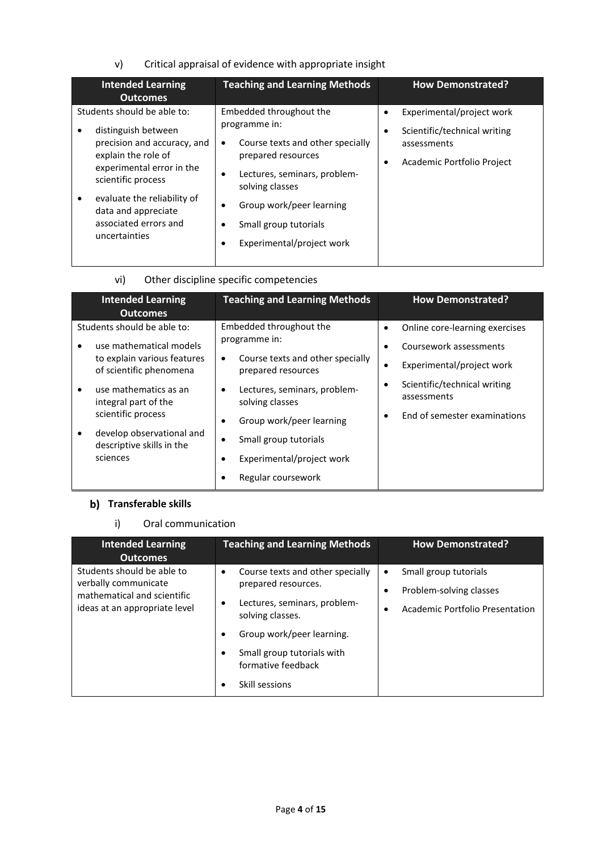## v) Critical appraisal of evidence with appropriate insight

| <b>Intended Learning</b><br><b>Outcomes</b>                                                                                                                                                | <b>Teaching and Learning Methods</b>                                                                                                                                                                | <b>How Demonstrated?</b>                                                                               |
|--------------------------------------------------------------------------------------------------------------------------------------------------------------------------------------------|-----------------------------------------------------------------------------------------------------------------------------------------------------------------------------------------------------|--------------------------------------------------------------------------------------------------------|
| Students should be able to:<br>distinguish between<br>precision and accuracy, and<br>explain the role of<br>experimental error in the<br>scientific process<br>evaluate the reliability of | Embedded throughout the<br>programme in:<br>Course texts and other specially<br>$\bullet$<br>prepared resources<br>Lectures, seminars, problem-<br>٠<br>solving classes<br>Group work/peer learning | Experimental/project work<br>Scientific/technical writing<br>assessments<br>Academic Portfolio Project |
| data and appreciate<br>associated errors and<br>uncertainties                                                                                                                              | Small group tutorials<br>٠<br>Experimental/project work                                                                                                                                             |                                                                                                        |

## vi) Other discipline specific competencies

| <b>Intended Learning</b><br><b>Outcomes</b>            | <b>Teaching and Learning Methods</b>                         | <b>How Demonstrated?</b>                    |
|--------------------------------------------------------|--------------------------------------------------------------|---------------------------------------------|
| Students should be able to:                            | Embedded throughout the                                      | Online core-learning exercises              |
| use mathematical models                                | programme in:                                                | Coursework assessments                      |
| to explain various features<br>of scientific phenomena | Course texts and other specially<br>٠<br>prepared resources  | Experimental/project work                   |
| use mathematics as an<br>٠<br>integral part of the     | Lectures, seminars, problem-<br>$\bullet$<br>solving classes | Scientific/technical writing<br>assessments |
| scientific process                                     | Group work/peer learning<br>٠                                | End of semester examinations                |
| develop observational and<br>descriptive skills in the | Small group tutorials                                        |                                             |
| sciences                                               | Experimental/project work                                    |                                             |
|                                                        | Regular coursework                                           |                                             |

## **b)** Transferable skills

#### i) Oral communication

| <b>Intended Learning</b><br><b>Outcomes</b>                                                                        | <b>Teaching and Learning Methods</b>                                                                                                                                                                           | <b>How Demonstrated?</b>                                                                              |
|--------------------------------------------------------------------------------------------------------------------|----------------------------------------------------------------------------------------------------------------------------------------------------------------------------------------------------------------|-------------------------------------------------------------------------------------------------------|
| Students should be able to<br>verbally communicate<br>mathematical and scientific<br>ideas at an appropriate level | Course texts and other specially<br>$\bullet$<br>prepared resources.<br>Lectures, seminars, problem-<br>٠<br>solving classes.<br>Group work/peer learning.<br>Small group tutorials with<br>formative feedback | Small group tutorials<br>$\bullet$<br>Problem-solving classes<br>٠<br>Academic Portfolio Presentation |
|                                                                                                                    | Skill sessions                                                                                                                                                                                                 |                                                                                                       |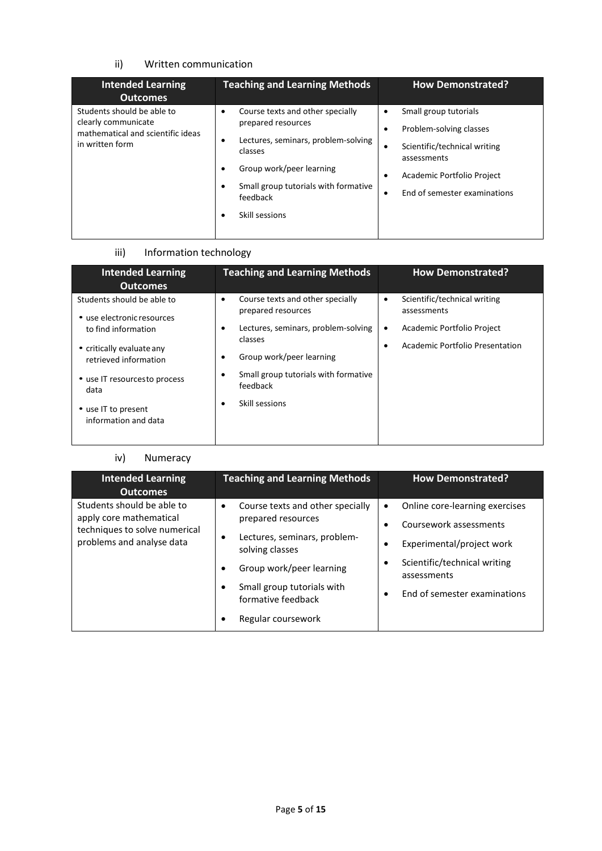### ii) Written communication

| <b>Intended Learning</b><br><b>Outcomes</b>                                                               | <b>Teaching and Learning Methods</b>                                                                                                                                                                                 | <b>How Demonstrated?</b>                                                                                                                                           |
|-----------------------------------------------------------------------------------------------------------|----------------------------------------------------------------------------------------------------------------------------------------------------------------------------------------------------------------------|--------------------------------------------------------------------------------------------------------------------------------------------------------------------|
| Students should be able to<br>clearly communicate<br>mathematical and scientific ideas<br>in written form | Course texts and other specially<br>٠<br>prepared resources<br>Lectures, seminars, problem-solving<br>٠<br>classes<br>Group work/peer learning<br>Small group tutorials with formative<br>feedback<br>Skill sessions | Small group tutorials<br>Problem-solving classes<br>Scientific/technical writing<br>٠<br>assessments<br>Academic Portfolio Project<br>End of semester examinations |

## iii) Information technology

| <b>Intended Learning</b><br><b>Outcomes</b>                                                                                                                                                                                  | <b>Teaching and Learning Methods</b>                                                                                                                                                                                                | <b>How Demonstrated?</b>                                                                                                    |
|------------------------------------------------------------------------------------------------------------------------------------------------------------------------------------------------------------------------------|-------------------------------------------------------------------------------------------------------------------------------------------------------------------------------------------------------------------------------------|-----------------------------------------------------------------------------------------------------------------------------|
| Students should be able to<br>• use electronic resources<br>to find information<br>• critically evaluate any<br>retrieved information<br>• use IT resourcesto process<br>data<br>• use IT to present<br>information and data | Course texts and other specially<br>٠<br>prepared resources<br>Lectures, seminars, problem-solving<br>٠<br>classes<br>Group work/peer learning<br>٠<br>Small group tutorials with formative<br>٠<br>feedback<br>Skill sessions<br>٠ | Scientific/technical writing<br>٠<br>assessments<br>Academic Portfolio Project<br>٠<br>Academic Portfolio Presentation<br>٠ |

#### iv) Numeracy

| <b>Intended Learning</b><br><b>Outcomes</b>                                                                         | <b>Teaching and Learning Methods</b>                                                                                                                                                                                                   | <b>How Demonstrated?</b>                                                                                                                                                                    |
|---------------------------------------------------------------------------------------------------------------------|----------------------------------------------------------------------------------------------------------------------------------------------------------------------------------------------------------------------------------------|---------------------------------------------------------------------------------------------------------------------------------------------------------------------------------------------|
| Students should be able to<br>apply core mathematical<br>techniques to solve numerical<br>problems and analyse data | Course texts and other specially<br>$\bullet$<br>prepared resources<br>Lectures, seminars, problem-<br>٠<br>solving classes<br>Group work/peer learning<br>Small group tutorials with<br>٠<br>formative feedback<br>Regular coursework | Online core-learning exercises<br>$\bullet$<br>Coursework assessments<br>٠<br>Experimental/project work<br>Scientific/technical writing<br>٠<br>assessments<br>End of semester examinations |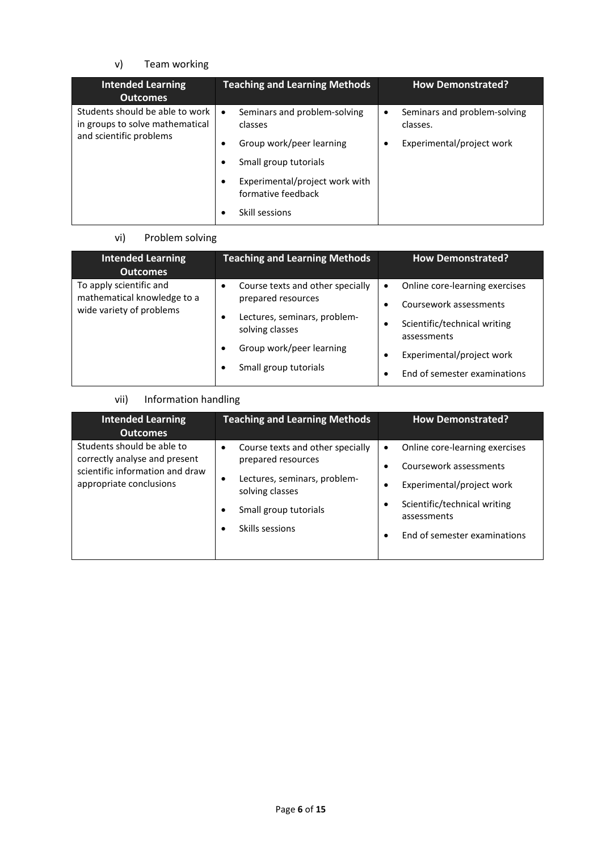## v) Team working

| <b>Intended Learning</b><br><b>Outcomes</b>                        | <b>Teaching and Learning Methods</b>                 | <b>How Demonstrated?</b>                      |
|--------------------------------------------------------------------|------------------------------------------------------|-----------------------------------------------|
| Students should be able to work<br>in groups to solve mathematical | Seminars and problem-solving<br>$\bullet$<br>classes | Seminars and problem-solving<br>٠<br>classes. |
| and scientific problems                                            | Group work/peer learning                             | Experimental/project work                     |
|                                                                    | Small group tutorials                                |                                               |
|                                                                    | Experimental/project work with<br>formative feedback |                                               |
|                                                                    | Skill sessions                                       |                                               |

## vi) Problem solving

| <b>Intended Learning</b><br><b>Outcomes</b>             | <b>Teaching and Learning Methods</b>            | <b>How Demonstrated?</b>                    |
|---------------------------------------------------------|-------------------------------------------------|---------------------------------------------|
| To apply scientific and                                 | Course texts and other specially                | Online core-learning exercises<br>$\bullet$ |
| mathematical knowledge to a<br>wide variety of problems | prepared resources                              | Coursework assessments                      |
|                                                         | Lectures, seminars, problem-<br>solving classes | Scientific/technical writing<br>assessments |
|                                                         | Group work/peer learning                        | Experimental/project work                   |
|                                                         | Small group tutorials                           | End of semester examinations                |

## vii) Information handling

| <b>Intended Learning</b><br><b>Outcomes</b>                                                                               | <b>Teaching and Learning Methods</b>                                                                                                                                                 | <b>How Demonstrated?</b>                                                                                                                                                                            |
|---------------------------------------------------------------------------------------------------------------------------|--------------------------------------------------------------------------------------------------------------------------------------------------------------------------------------|-----------------------------------------------------------------------------------------------------------------------------------------------------------------------------------------------------|
| Students should be able to<br>correctly analyse and present<br>scientific information and draw<br>appropriate conclusions | Course texts and other specially<br>$\bullet$<br>prepared resources<br>Lectures, seminars, problem-<br>٠<br>solving classes<br>Small group tutorials<br>Skills sessions<br>$\bullet$ | Online core-learning exercises<br>$\bullet$<br>Coursework assessments<br>Experimental/project work<br>Scientific/technical writing<br>٠<br>assessments<br>End of semester examinations<br>$\bullet$ |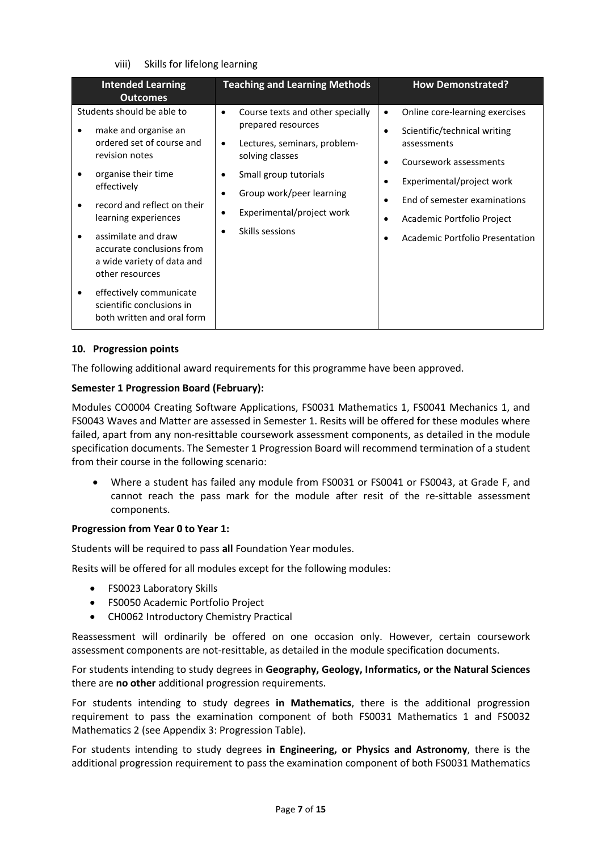#### viii) Skills for lifelong learning

| <b>Intended Learning</b><br><b>Outcomes</b>                                                                                                                                                    | <b>Teaching and Learning Methods</b>                                                                                                                                                                                                         | <b>How Demonstrated?</b>                                                                                                                                                                                |
|------------------------------------------------------------------------------------------------------------------------------------------------------------------------------------------------|----------------------------------------------------------------------------------------------------------------------------------------------------------------------------------------------------------------------------------------------|---------------------------------------------------------------------------------------------------------------------------------------------------------------------------------------------------------|
| Students should be able to<br>make and organise an<br>ordered set of course and<br>revision notes<br>organise their time<br>effectively<br>record and reflect on their<br>learning experiences | Course texts and other specially<br>$\bullet$<br>prepared resources<br>Lectures, seminars, problem-<br>$\bullet$<br>solving classes<br>Small group tutorials<br>٠<br>Group work/peer learning<br>$\bullet$<br>Experimental/project work<br>٠ | Online core-learning exercises<br>٠<br>Scientific/technical writing<br>assessments<br>Coursework assessments<br>Experimental/project work<br>End of semester examinations<br>Academic Portfolio Project |
| assimilate and draw<br>accurate conclusions from<br>a wide variety of data and<br>other resources<br>effectively communicate<br>scientific conclusions in<br>both written and oral form        | Skills sessions<br>$\bullet$                                                                                                                                                                                                                 | Academic Portfolio Presentation                                                                                                                                                                         |

#### **10. Progression points**

The following additional award requirements for this programme have been approved.

#### **Semester 1 Progression Board (February):**

Modules CO0004 Creating Software Applications, FS0031 Mathematics 1, FS0041 Mechanics 1, and FS0043 Waves and Matter are assessed in Semester 1. Resits will be offered for these modules where failed, apart from any non-resittable coursework assessment components, as detailed in the module specification documents. The Semester 1 Progression Board will recommend termination of a student from their course in the following scenario:

• Where a student has failed any module from FS0031 or FS0041 or FS0043, at Grade F, and cannot reach the pass mark for the module after resit of the re-sittable assessment components.

#### **Progression from Year 0 to Year 1:**

Students will be required to pass **all** Foundation Year modules.

Resits will be offered for all modules except for the following modules:

- FS0023 Laboratory Skills
- FS0050 Academic Portfolio Project
- CH0062 Introductory Chemistry Practical

Reassessment will ordinarily be offered on one occasion only. However, certain coursework assessment components are not-resittable, as detailed in the module specification documents.

For students intending to study degrees in **Geography, Geology, Informatics, or the Natural Sciences** there are **no other** additional progression requirements.

For students intending to study degrees **in Mathematics**, there is the additional progression requirement to pass the examination component of both FS0031 Mathematics 1 and FS0032 Mathematics 2 (see Appendix 3: Progression Table).

For students intending to study degrees **in Engineering, or Physics and Astronomy**, there is the additional progression requirement to pass the examination component of both FS0031 Mathematics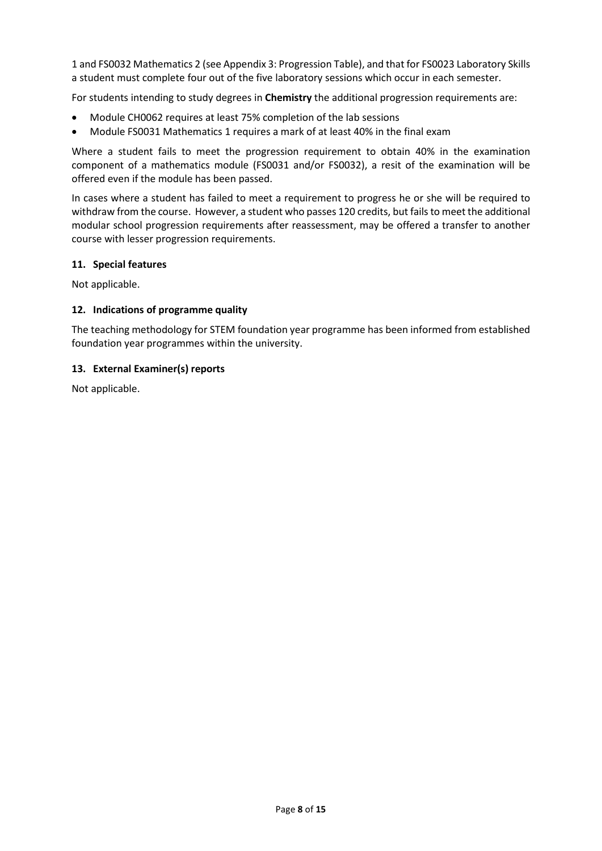1 and FS0032 Mathematics 2 (see Appendix 3: Progression Table), and that for FS0023 Laboratory Skills a student must complete four out of the five laboratory sessions which occur in each semester.

For students intending to study degrees in **Chemistry** the additional progression requirements are:

- Module CH0062 requires at least 75% completion of the lab sessions
- Module FS0031 Mathematics 1 requires a mark of at least 40% in the final exam

Where a student fails to meet the progression requirement to obtain 40% in the examination component of a mathematics module (FS0031 and/or FS0032), a resit of the examination will be offered even if the module has been passed.

In cases where a student has failed to meet a requirement to progress he or she will be required to withdraw from the course. However, a student who passes 120 credits, but fails to meet the additional modular school progression requirements after reassessment, may be offered a transfer to another course with lesser progression requirements.

#### **11. Special features**

Not applicable.

#### **12. Indications of programme quality**

The teaching methodology for STEM foundation year programme has been informed from established foundation year programmes within the university.

#### **13. External Examiner(s) reports**

Not applicable.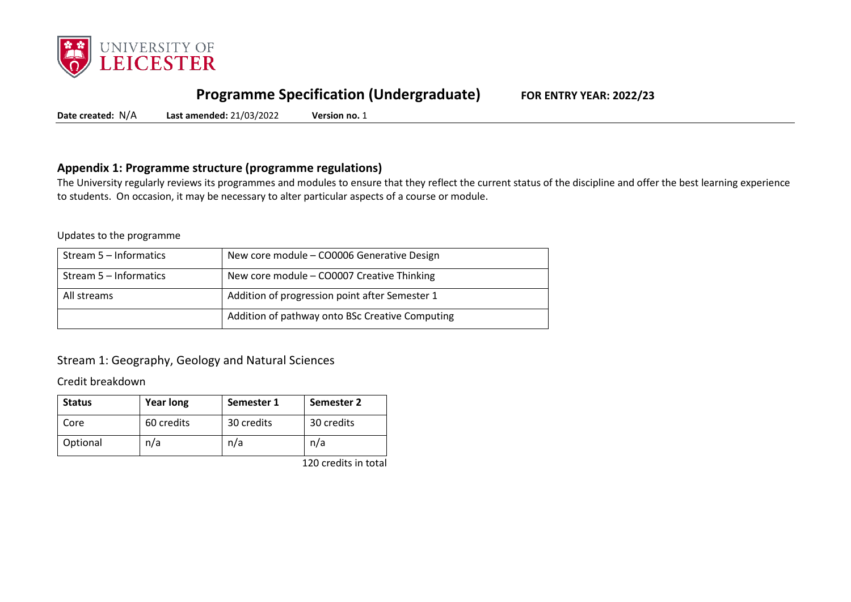

## **Programme Specification (Undergraduate) FOR ENTRY YEAR: 2022/23**

**Date created:** N/A **Last amended:** 21/03/2022 **Version no.** 1

## **Appendix 1: Programme structure (programme regulations)**

The University regularly reviews its programmes and modules to ensure that they reflect the current status of the discipline and offer the best learning experience to students. On occasion, it may be necessary to alter particular aspects of a course or module.

#### Updates to the programme

| Stream 5 – Informatics | New core module - CO0006 Generative Design      |
|------------------------|-------------------------------------------------|
| Stream 5 – Informatics | New core module - CO0007 Creative Thinking      |
| All streams            | Addition of progression point after Semester 1  |
|                        | Addition of pathway onto BSc Creative Computing |

## Stream 1: Geography, Geology and Natural Sciences

Credit breakdown

| <b>Status</b> | <b>Year long</b> | Semester 1 | Semester 2 |
|---------------|------------------|------------|------------|
| Core          | 60 credits       | 30 credits | 30 credits |
| Optional      | n/a              | n/a        | n/a        |

120 credits in total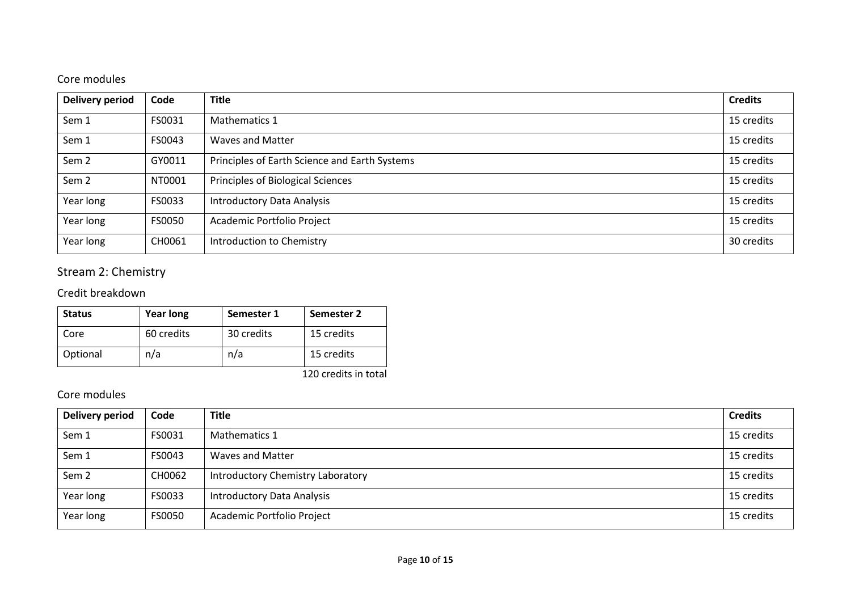## Core modules

| <b>Delivery period</b> | Code          | <b>Title</b>                                  | <b>Credits</b> |
|------------------------|---------------|-----------------------------------------------|----------------|
| Sem 1                  | FS0031        | Mathematics 1                                 | 15 credits     |
| Sem 1                  | FS0043        | <b>Waves and Matter</b>                       | 15 credits     |
| Sem <sub>2</sub>       | GY0011        | Principles of Earth Science and Earth Systems | 15 credits     |
| Sem <sub>2</sub>       | NT0001        | Principles of Biological Sciences             | 15 credits     |
| Year long              | FS0033        | <b>Introductory Data Analysis</b>             | 15 credits     |
| Year long              | <b>FS0050</b> | Academic Portfolio Project                    | 15 credits     |
| Year long              | CH0061        | Introduction to Chemistry                     | 30 credits     |

# Stream 2: Chemistry

## Credit breakdown

| <b>Status</b> | <b>Year long</b> | Semester 1 | Semester 2           |
|---------------|------------------|------------|----------------------|
| Core          | 60 credits       | 30 credits | 15 credits           |
| Optional      | n/a              | n/a        | 15 credits           |
|               |                  |            | 120 credits in total |

| Delivery period  | Code   | <b>Title</b>                      | <b>Credits</b> |
|------------------|--------|-----------------------------------|----------------|
| Sem 1            | FS0031 | <b>Mathematics 1</b>              | 15 credits     |
| Sem 1            | FS0043 | <b>Waves and Matter</b>           | 15 credits     |
| Sem <sub>2</sub> | CH0062 | Introductory Chemistry Laboratory | 15 credits     |
| Year long        | FS0033 | <b>Introductory Data Analysis</b> | 15 credits     |
| Year long        | FS0050 | Academic Portfolio Project        | 15 credits     |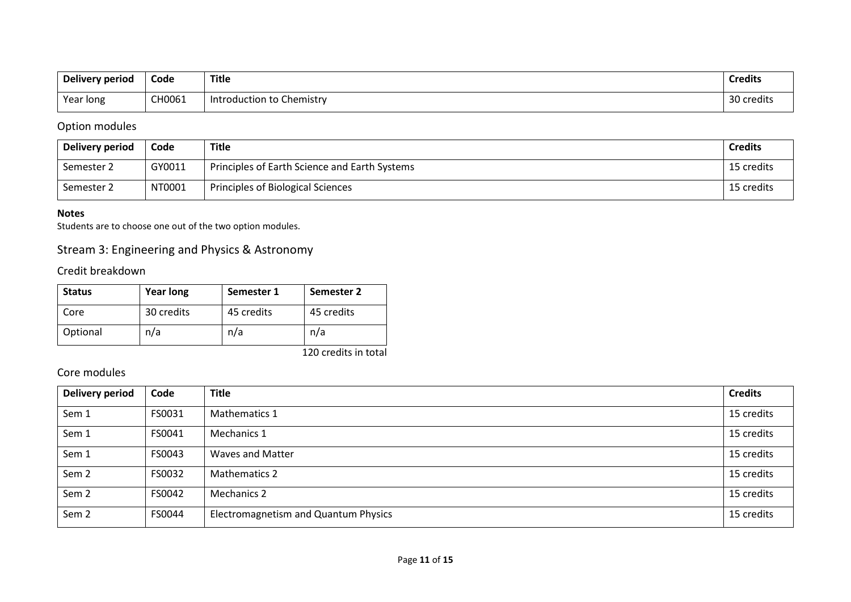| Delivery period | Code   | <b>Title</b>              | <b>Credits</b> |
|-----------------|--------|---------------------------|----------------|
| Year long       | CH0061 | Introduction to Chemistry | 30 credits     |

## Option modules

| Delivery period | Code   | <b>Title</b>                                  | <b>Credits</b> |
|-----------------|--------|-----------------------------------------------|----------------|
| Semester 2      | GY0011 | Principles of Earth Science and Earth Systems | 15 credits     |
| Semester 2      | NT0001 | Principles of Biological Sciences             | 15 credits     |

#### **Notes**

Students are to choose one out of the two option modules.

## Stream 3: Engineering and Physics & Astronomy

Credit breakdown

| <b>Status</b> | <b>Year long</b> | Semester 1 | Semester 2 |
|---------------|------------------|------------|------------|
| Core          | 30 credits       | 45 credits | 45 credits |
| Optional      | n/a              | n/a        | n/a        |

120 credits in total

| <b>Delivery period</b> | Code   | <b>Title</b>                         | <b>Credits</b> |
|------------------------|--------|--------------------------------------|----------------|
| Sem 1                  | FS0031 | Mathematics 1                        | 15 credits     |
| Sem 1                  | FS0041 | Mechanics 1                          | 15 credits     |
| Sem 1                  | FS0043 | <b>Waves and Matter</b>              | 15 credits     |
| Sem <sub>2</sub>       | FS0032 | Mathematics 2                        | 15 credits     |
| Sem <sub>2</sub>       | FS0042 | <b>Mechanics 2</b>                   | 15 credits     |
| Sem <sub>2</sub>       | FS0044 | Electromagnetism and Quantum Physics | 15 credits     |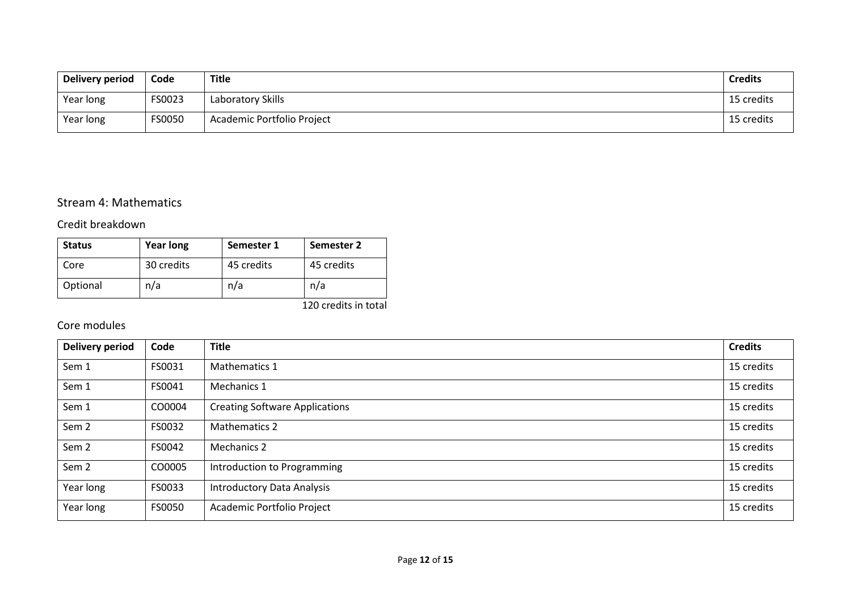| Delivery period | Code   | <b>Title</b>               | <b>Credits</b> |
|-----------------|--------|----------------------------|----------------|
| Year long       | FS0023 | Laboratory Skills          | 15 credits     |
| Year long       | FS0050 | Academic Portfolio Project | 15 credits     |

## Stream 4: Mathematics

## Credit breakdown

| <b>Status</b> | <b>Year long</b> | Semester 1 | Semester 2 |  |  |
|---------------|------------------|------------|------------|--|--|
| Core          | 30 credits       | 45 credits | 45 credits |  |  |
| Optional      | n/a              | n/a        | n/a        |  |  |

120 credits in total

| <b>Delivery period</b> | Code          | <b>Title</b>                                    | <b>Credits</b> |  |  |  |  |  |  |
|------------------------|---------------|-------------------------------------------------|----------------|--|--|--|--|--|--|
| Sem 1                  | FS0031        | 15 credits<br><b>Mathematics 1</b>              |                |  |  |  |  |  |  |
| Sem 1                  | FS0041        | 15 credits<br>Mechanics 1                       |                |  |  |  |  |  |  |
| Sem 1                  | CO0004        | <b>Creating Software Applications</b>           | 15 credits     |  |  |  |  |  |  |
| Sem 2                  | FS0032        | 15 credits<br><b>Mathematics 2</b>              |                |  |  |  |  |  |  |
| Sem <sub>2</sub>       | FS0042        | 15 credits<br><b>Mechanics 2</b>                |                |  |  |  |  |  |  |
| Sem <sub>2</sub>       | CO0005        | Introduction to Programming                     | 15 credits     |  |  |  |  |  |  |
| Year long              | FS0033        | 15 credits<br><b>Introductory Data Analysis</b> |                |  |  |  |  |  |  |
| Year long              | <b>FS0050</b> | Academic Portfolio Project                      | 15 credits     |  |  |  |  |  |  |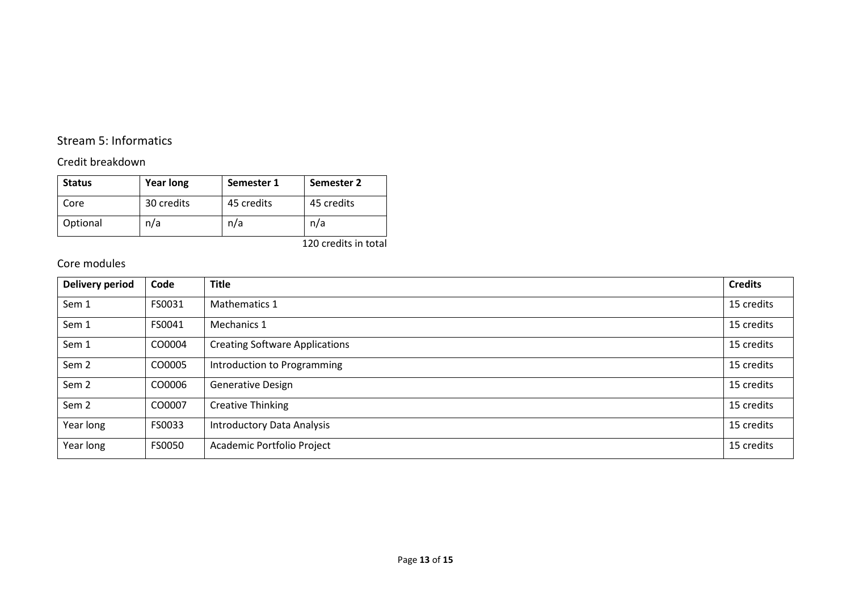## Stream 5: Informatics

## Credit breakdown

| <b>Status</b> | <b>Year long</b> | Semester 1 | Semester 2 |  |  |
|---------------|------------------|------------|------------|--|--|
| Core          | 30 credits       | 45 credits | 45 credits |  |  |
| Optional      | n/a              | n/a        | n/a        |  |  |

120 credits in total

| <b>Delivery period</b> | Code   | <b>Title</b>                                        | <b>Credits</b> |  |  |  |  |  |  |
|------------------------|--------|-----------------------------------------------------|----------------|--|--|--|--|--|--|
| Sem 1                  | FS0031 | 15 credits<br>Mathematics 1                         |                |  |  |  |  |  |  |
| Sem 1                  | FS0041 | 15 credits<br>Mechanics 1                           |                |  |  |  |  |  |  |
| Sem 1                  | CO0004 | <b>Creating Software Applications</b><br>15 credits |                |  |  |  |  |  |  |
| Sem <sub>2</sub>       | CO0005 | 15 credits<br>Introduction to Programming           |                |  |  |  |  |  |  |
| Sem <sub>2</sub>       | CO0006 | 15 credits<br><b>Generative Design</b>              |                |  |  |  |  |  |  |
| Sem <sub>2</sub>       | CO0007 | <b>Creative Thinking</b>                            | 15 credits     |  |  |  |  |  |  |
| Year long              | FS0033 | 15 credits<br><b>Introductory Data Analysis</b>     |                |  |  |  |  |  |  |
| Year long              | FS0050 | Academic Portfolio Project                          | 15 credits     |  |  |  |  |  |  |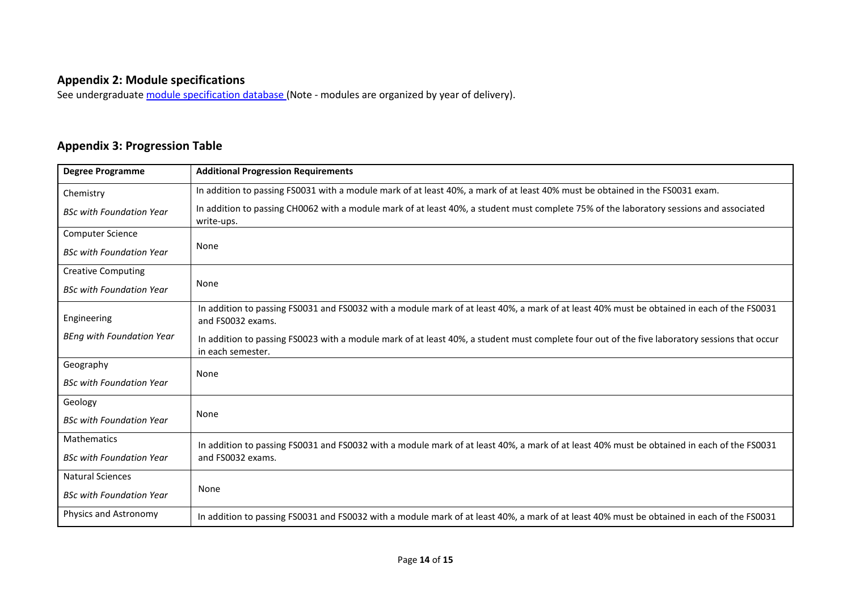## **Appendix 2: Module specifications**

See undergraduat[e module specification database](http://www.le.ac.uk/sas/courses/documentation) (Note - modules are organized by year of delivery).

## **Appendix 3: Progression Table**

| <b>Degree Programme</b>          | <b>Additional Progression Requirements</b>                                                                                                                         |  |  |  |  |  |  |  |  |  |
|----------------------------------|--------------------------------------------------------------------------------------------------------------------------------------------------------------------|--|--|--|--|--|--|--|--|--|
| Chemistry                        | In addition to passing FS0031 with a module mark of at least 40%, a mark of at least 40% must be obtained in the FS0031 exam.                                      |  |  |  |  |  |  |  |  |  |
| <b>BSc with Foundation Year</b>  | In addition to passing CH0062 with a module mark of at least 40%, a student must complete 75% of the laboratory sessions and associated<br>write-ups.              |  |  |  |  |  |  |  |  |  |
| <b>Computer Science</b>          |                                                                                                                                                                    |  |  |  |  |  |  |  |  |  |
| <b>BSc with Foundation Year</b>  | None                                                                                                                                                               |  |  |  |  |  |  |  |  |  |
| <b>Creative Computing</b>        |                                                                                                                                                                    |  |  |  |  |  |  |  |  |  |
| <b>BSc with Foundation Year</b>  | None                                                                                                                                                               |  |  |  |  |  |  |  |  |  |
| Engineering                      | In addition to passing FS0031 and FS0032 with a module mark of at least 40%, a mark of at least 40% must be obtained in each of the FS0031<br>and FS0032 exams.    |  |  |  |  |  |  |  |  |  |
| <b>BEng with Foundation Year</b> | In addition to passing FS0023 with a module mark of at least 40%, a student must complete four out of the five laboratory sessions that occur<br>in each semester. |  |  |  |  |  |  |  |  |  |
| Geography                        | None                                                                                                                                                               |  |  |  |  |  |  |  |  |  |
| <b>BSc with Foundation Year</b>  |                                                                                                                                                                    |  |  |  |  |  |  |  |  |  |
| Geology                          |                                                                                                                                                                    |  |  |  |  |  |  |  |  |  |
| <b>BSc with Foundation Year</b>  | None                                                                                                                                                               |  |  |  |  |  |  |  |  |  |
| <b>Mathematics</b>               | In addition to passing FS0031 and FS0032 with a module mark of at least 40%, a mark of at least 40% must be obtained in each of the FS0031                         |  |  |  |  |  |  |  |  |  |
| <b>BSc with Foundation Year</b>  | and FS0032 exams.                                                                                                                                                  |  |  |  |  |  |  |  |  |  |
| <b>Natural Sciences</b>          |                                                                                                                                                                    |  |  |  |  |  |  |  |  |  |
| <b>BSc with Foundation Year</b>  | None                                                                                                                                                               |  |  |  |  |  |  |  |  |  |
| Physics and Astronomy            | In addition to passing FS0031 and FS0032 with a module mark of at least 40%, a mark of at least 40% must be obtained in each of the FS0031                         |  |  |  |  |  |  |  |  |  |